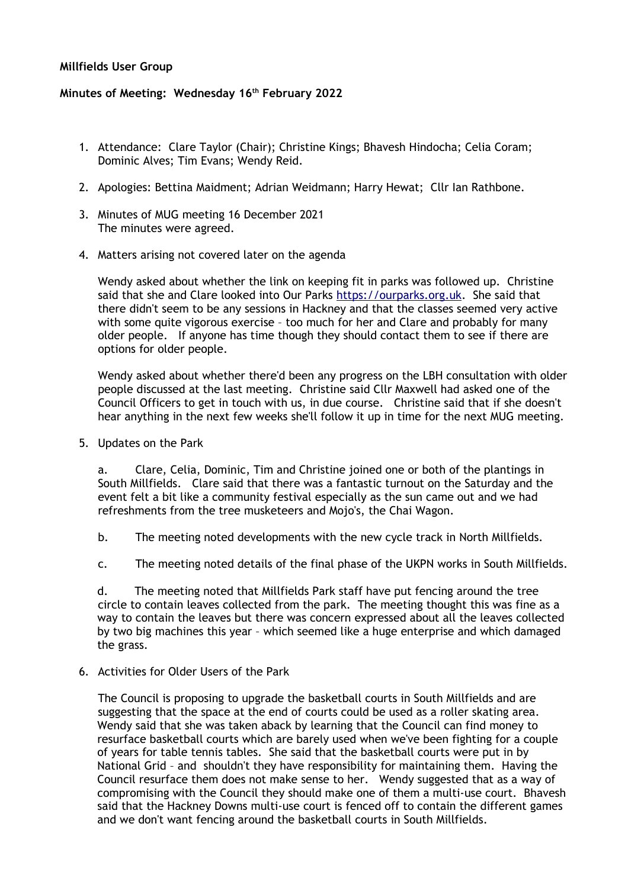## **Millfields User Group**

## **Minutes of Meeting: Wednesday 16th February 2022**

- 1. Attendance: Clare Taylor (Chair); Christine Kings; Bhavesh Hindocha; Celia Coram; Dominic Alves; Tim Evans; Wendy Reid.
- 2. Apologies: Bettina Maidment; Adrian Weidmann; Harry Hewat; Cllr Ian Rathbone.
- 3. Minutes of MUG meeting 16 December 2021 The minutes were agreed.
- 4. Matters arising not covered later on the agenda

Wendy asked about whether the link on keeping fit in parks was followed up. Christine said that she and Clare looked into Our Parks [https://ourparks.org.uk.](https://ourparks.org.uk/) She said that there didn't seem to be any sessions in Hackney and that the classes seemed very active with some quite vigorous exercise – too much for her and Clare and probably for many older people. If anyone has time though they should contact them to see if there are options for older people.

Wendy asked about whether there'd been any progress on the LBH consultation with older people discussed at the last meeting. Christine said Cllr Maxwell had asked one of the Council Officers to get in touch with us, in due course. Christine said that if she doesn't hear anything in the next few weeks she'll follow it up in time for the next MUG meeting.

5. Updates on the Park

a. Clare, Celia, Dominic, Tim and Christine joined one or both of the plantings in South Millfields. Clare said that there was a fantastic turnout on the Saturday and the event felt a bit like a community festival especially as the sun came out and we had refreshments from the tree musketeers and Mojo's, the Chai Wagon.

- b. The meeting noted developments with the new cycle track in North Millfields.
- c. The meeting noted details of the final phase of the UKPN works in South Millfields.

d. The meeting noted that Millfields Park staff have put fencing around the tree circle to contain leaves collected from the park. The meeting thought this was fine as a way to contain the leaves but there was concern expressed about all the leaves collected by two big machines this year – which seemed like a huge enterprise and which damaged the grass.

6. Activities for Older Users of the Park

The Council is proposing to upgrade the basketball courts in South Millfields and are suggesting that the space at the end of courts could be used as a roller skating area. Wendy said that she was taken aback by learning that the Council can find money to resurface basketball courts which are barely used when we've been fighting for a couple of years for table tennis tables. She said that the basketball courts were put in by National Grid – and shouldn't they have responsibility for maintaining them. Having the Council resurface them does not make sense to her. Wendy suggested that as a way of compromising with the Council they should make one of them a multi-use court. Bhavesh said that the Hackney Downs multi-use court is fenced off to contain the different games and we don't want fencing around the basketball courts in South Millfields.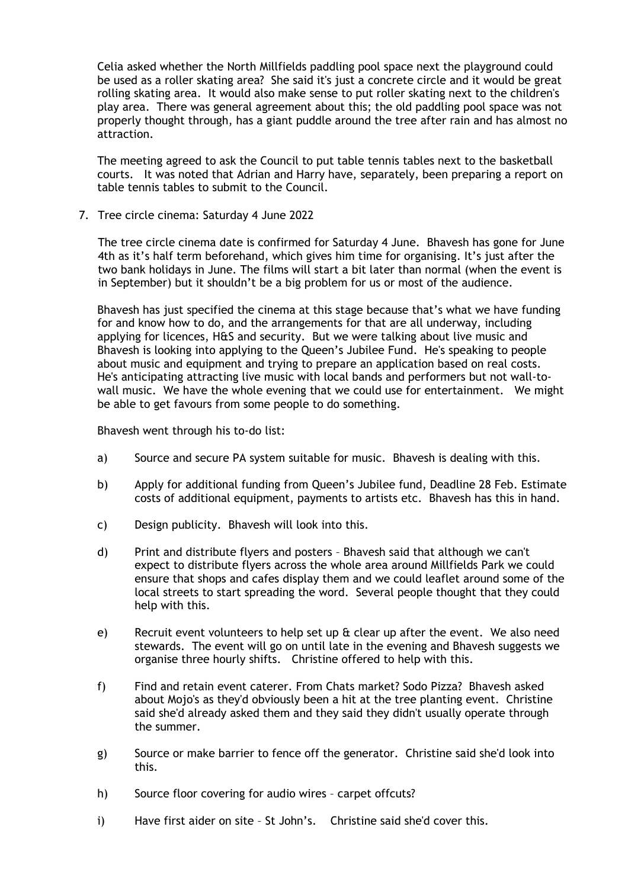Celia asked whether the North Millfields paddling pool space next the playground could be used as a roller skating area? She said it's just a concrete circle and it would be great rolling skating area. It would also make sense to put roller skating next to the children's play area. There was general agreement about this; the old paddling pool space was not properly thought through, has a giant puddle around the tree after rain and has almost no attraction.

The meeting agreed to ask the Council to put table tennis tables next to the basketball courts. It was noted that Adrian and Harry have, separately, been preparing a report on table tennis tables to submit to the Council.

7. Tree circle cinema: Saturday 4 June 2022

The tree circle cinema date is confirmed for Saturday 4 June. Bhavesh has gone for June 4th as it's half term beforehand, which gives him time for organising. It's just after the two bank holidays in June. The films will start a bit later than normal (when the event is in September) but it shouldn't be a big problem for us or most of the audience.

Bhavesh has just specified the cinema at this stage because that's what we have funding for and know how to do, and the arrangements for that are all underway, including applying for licences, H&S and security. But we were talking about live music and Bhavesh is looking into applying to the Queen's Jubilee Fund. He's speaking to people about music and equipment and trying to prepare an application based on real costs. He's anticipating attracting live music with local bands and performers but not wall-towall music. We have the whole evening that we could use for entertainment. We might be able to get favours from some people to do something.

Bhavesh went through his to-do list:

- a) Source and secure PA system suitable for music. Bhavesh is dealing with this.
- b) Apply for additional funding from Queen's Jubilee fund, Deadline 28 Feb. Estimate costs of additional equipment, payments to artists etc. Bhavesh has this in hand.
- c) Design publicity. Bhavesh will look into this.
- d) Print and distribute flyers and posters Bhavesh said that although we can't expect to distribute flyers across the whole area around Millfields Park we could ensure that shops and cafes display them and we could leaflet around some of the local streets to start spreading the word. Several people thought that they could help with this.
- e) Recruit event volunteers to help set up & clear up after the event. We also need stewards. The event will go on until late in the evening and Bhavesh suggests we organise three hourly shifts. Christine offered to help with this.
- f) Find and retain event caterer. From Chats market? Sodo Pizza? Bhavesh asked about Mojo's as they'd obviously been a hit at the tree planting event. Christine said she'd already asked them and they said they didn't usually operate through the summer.
- g) Source or make barrier to fence off the generator. Christine said she'd look into this.
- h) Source floor covering for audio wires carpet offcuts?
- i) Have first aider on site St John's. Christine said she'd cover this.